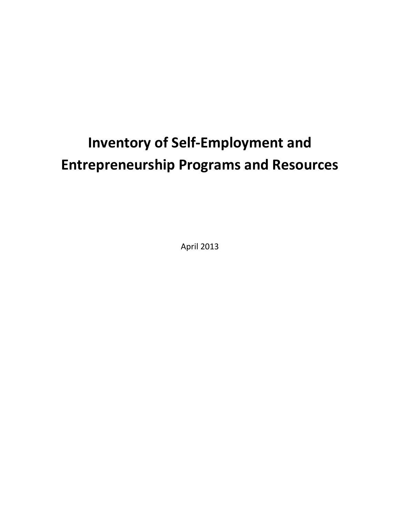# **Inventory of Self-Employment and Entrepreneurship Programs and Resources**

April 2013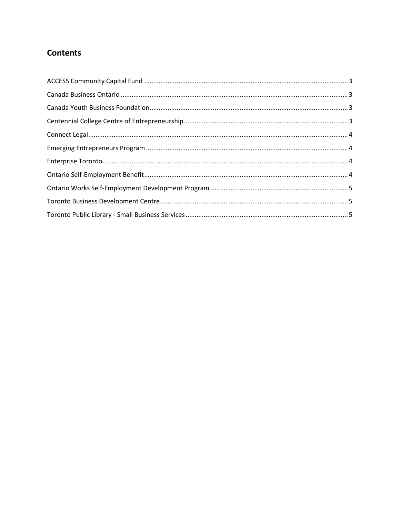# **Contents**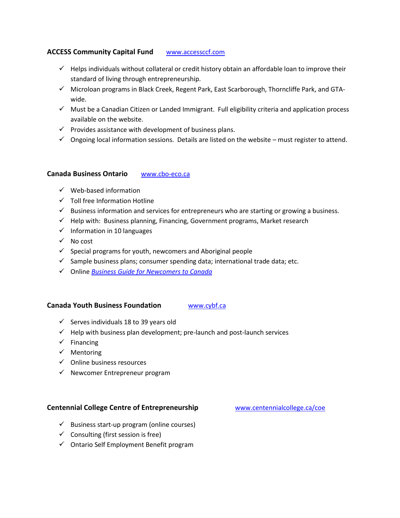## <span id="page-2-0"></span>**ACCESS Community Capital Fund** [www.accessccf.com](http://www.accessccf.com/)

- $\checkmark$  Helps individuals without collateral or credit history obtain an affordable loan to improve their standard of living through entrepreneurship.
- $\checkmark$  Microloan programs in Black Creek, Regent Park, East Scarborough, Thorncliffe Park, and GTAwide.
- $\checkmark$  Must be a Canadian Citizen or Landed Immigrant. Full eligibility criteria and application process available on the website.
- $\checkmark$  Provides assistance with development of business plans.
- $\checkmark$  Ongoing local information sessions. Details are listed on the website must register to attend.

#### <span id="page-2-1"></span>**Canada Business Ontario** [www.cbo-eco.ca](http://www.cbo-eco.ca/)

- $\checkmark$  Web-based information
- $\checkmark$  Toll free Information Hotline
- $\checkmark$  Business information and services for entrepreneurs who are starting or growing a business.
- $\checkmark$  Help with: Business planning, Financing, Government programs, Market research
- $\checkmark$  Information in 10 languages
- $\checkmark$  No cost
- $\checkmark$  Special programs for youth, newcomers and Aboriginal people
- $\checkmark$  Sample business plans; consumer spending data; international trade data; etc.
- Online *[Business Guide for Newcomers to Canada](http://www.cbo-eco.ca/en/index.cfm/guides/start-up-info-guide-for-newcomers-to-canada/)*

#### <span id="page-2-2"></span>**Canada Youth Business Foundation** [www.cybf.ca](http://www.cybf.ca/)

- $\checkmark$  Serves individuals 18 to 39 years old
- $\checkmark$  Help with business plan development; pre-launch and post-launch services
- $\checkmark$  Financing
- $\checkmark$  Mentoring
- $\checkmark$  Online business resources
- $\checkmark$  Newcomer Entrepreneur program

## <span id="page-2-3"></span>**Centennial College Centre of Entrepreneurship** [www.centennialcollege.ca/coe](http://www.centennialcollege.ca/coe)

- $\checkmark$  Business start-up program (online courses)
- $\checkmark$  Consulting (first session is free)
- $\checkmark$  Ontario Self Employment Benefit program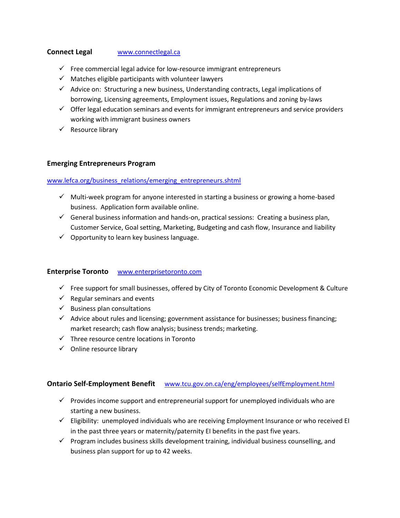#### <span id="page-3-0"></span>**Connect Legal WWW.connectlegal.ca**

- $\checkmark$  Free commercial legal advice for low-resource immigrant entrepreneurs
- $\checkmark$  Matches eligible participants with volunteer lawyers
- $\checkmark$  Advice on: Structuring a new business, Understanding contracts, Legal implications of borrowing, Licensing agreements, Employment issues, Regulations and zoning by-laws
- $\checkmark$  Offer legal education seminars and events for immigrant entrepreneurs and service providers working with immigrant business owners
- $\checkmark$  Resource library

#### <span id="page-3-1"></span>**Emerging Entrepreneurs Program**

#### [www.lefca.org/business\\_relations/emerging\\_entrepreneurs.shtml](http://www.lefca.org/business_relations/emerging_entrepreneurs.shtml)

- $\checkmark$  Multi-week program for anyone interested in starting a business or growing a home-based business. Application form available online.
- $\checkmark$  General business information and hands-on, practical sessions: Creating a business plan, Customer Service, Goal setting, Marketing, Budgeting and cash flow, Insurance and liability
- $\checkmark$  Opportunity to learn key business language.

#### <span id="page-3-2"></span>**Enterprise Toronto** [www.enterprisetoronto.com](http://www.enterprisetoronto.com/)

- $\checkmark$  Free support for small businesses, offered by City of Toronto Economic Development & Culture
- $\checkmark$  Regular seminars and events
- $\checkmark$  Business plan consultations
- $\checkmark$  Advice about rules and licensing; government assistance for businesses; business financing; market research; cash flow analysis; business trends; marketing.
- $\checkmark$  Three resource centre locations in Toronto
- $\checkmark$  Online resource library

## <span id="page-3-3"></span>**Ontario Self-Employment Benefit** [www.tcu.gov.on.ca/eng/employees/selfEmployment.html](http://www.tcu.gov.on.ca/eng/employees/selfEmployment.html)

- $\checkmark$  Provides income support and entrepreneurial support for unemployed individuals who are starting a new business.
- $\checkmark$  Eligibility: unemployed individuals who are receiving Employment Insurance or who received EI in the past three years or maternity/paternity EI benefits in the past five years.
- $\checkmark$  Program includes business skills development training, individual business counselling, and business plan support for up to 42 weeks.